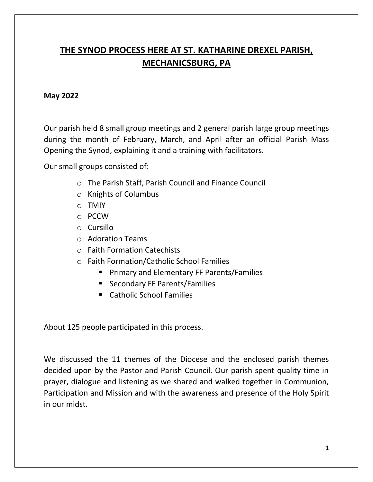## **THE SYNOD PROCESS HERE AT ST. KATHARINE DREXEL PARISH, MECHANICSBURG, PA**

## **May 2022**

Our parish held 8 small group meetings and 2 general parish large group meetings during the month of February, March, and April after an official Parish Mass Opening the Synod, explaining it and a training with facilitators.

Our small groups consisted of:

- o The Parish Staff, Parish Council and Finance Council
- o Knights of Columbus
- o TMIY
- o PCCW
- o Cursillo
- o Adoration Teams
- o Faith Formation Catechists
- o Faith Formation/Catholic School Families
	- Primary and Elementary FF Parents/Families
	- Secondary FF Parents/Families
	- Catholic School Families

About 125 people participated in this process.

We discussed the 11 themes of the Diocese and the enclosed parish themes decided upon by the Pastor and Parish Council. Our parish spent quality time in prayer, dialogue and listening as we shared and walked together in Communion, Participation and Mission and with the awareness and presence of the Holy Spirit in our midst.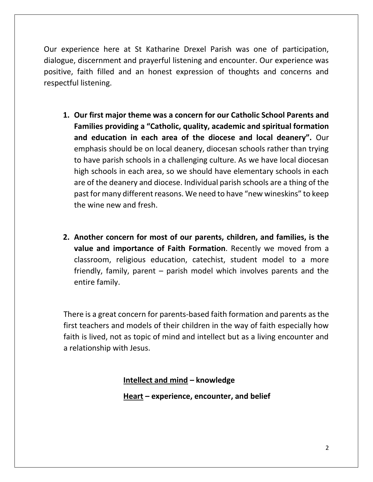Our experience here at St Katharine Drexel Parish was one of participation, dialogue, discernment and prayerful listening and encounter. Our experience was positive, faith filled and an honest expression of thoughts and concerns and respectful listening.

- **1. Our first major theme was a concern for our Catholic School Parents and Families providing a "Catholic, quality, academic and spiritual formation and education in each area of the diocese and local deanery".** Our emphasis should be on local deanery, diocesan schools rather than trying to have parish schools in a challenging culture. As we have local diocesan high schools in each area, so we should have elementary schools in each are of the deanery and diocese. Individual parish schools are a thing of the past for many different reasons. We need to have "new wineskins" to keep the wine new and fresh.
- **2. Another concern for most of our parents, children, and families, is the value and importance of Faith Formation**. Recently we moved from a classroom, religious education, catechist, student model to a more friendly, family, parent – parish model which involves parents and the entire family.

There is a great concern for parents-based faith formation and parents as the first teachers and models of their children in the way of faith especially how faith is lived, not as topic of mind and intellect but as a living encounter and a relationship with Jesus.

**Intellect and mind – knowledge**

**Heart – experience, encounter, and belief**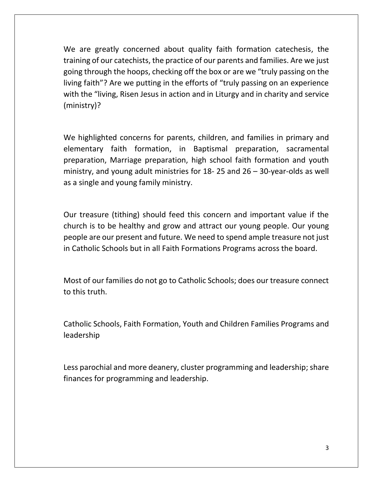We are greatly concerned about quality faith formation catechesis, the training of our catechists, the practice of our parents and families. Are we just going through the hoops, checking off the box or are we "truly passing on the living faith"? Are we putting in the efforts of "truly passing on an experience with the "living, Risen Jesus in action and in Liturgy and in charity and service (ministry)?

We highlighted concerns for parents, children, and families in primary and elementary faith formation, in Baptismal preparation, sacramental preparation, Marriage preparation, high school faith formation and youth ministry, and young adult ministries for 18- 25 and 26 – 30-year-olds as well as a single and young family ministry.

Our treasure (tithing) should feed this concern and important value if the church is to be healthy and grow and attract our young people. Our young people are our present and future. We need to spend ample treasure not just in Catholic Schools but in all Faith Formations Programs across the board.

Most of our families do not go to Catholic Schools; does our treasure connect to this truth.

Catholic Schools, Faith Formation, Youth and Children Families Programs and leadership

Less parochial and more deanery, cluster programming and leadership; share finances for programming and leadership.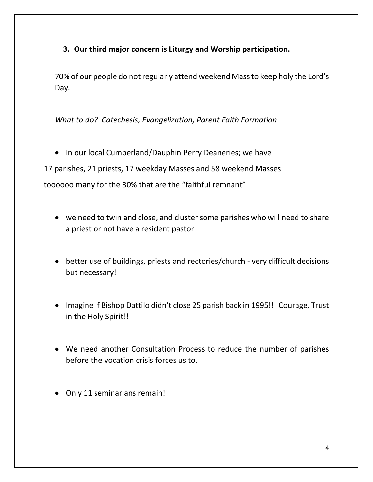**3. Our third major concern is Liturgy and Worship participation.** 

70% of our people do not regularly attend weekend Mass to keep holy the Lord's Day.

*What to do? Catechesis, Evangelization, Parent Faith Formation* 

• In our local Cumberland/Dauphin Perry Deaneries; we have

17 parishes, 21 priests, 17 weekday Masses and 58 weekend Masses

toooooo many for the 30% that are the "faithful remnant"

- we need to twin and close, and cluster some parishes who will need to share a priest or not have a resident pastor
- better use of buildings, priests and rectories/church very difficult decisions but necessary!
- Imagine if Bishop Dattilo didn't close 25 parish back in 1995!! Courage, Trust in the Holy Spirit!!
- We need another Consultation Process to reduce the number of parishes before the vocation crisis forces us to.
- Only 11 seminarians remain!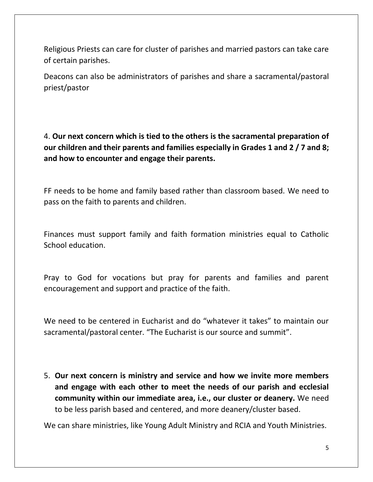Religious Priests can care for cluster of parishes and married pastors can take care of certain parishes.

Deacons can also be administrators of parishes and share a sacramental/pastoral priest/pastor

4. **Our next concern which is tied to the others is the sacramental preparation of our children and their parents and families especially in Grades 1 and 2 / 7 and 8; and how to encounter and engage their parents.**

FF needs to be home and family based rather than classroom based. We need to pass on the faith to parents and children.

Finances must support family and faith formation ministries equal to Catholic School education.

Pray to God for vocations but pray for parents and families and parent encouragement and support and practice of the faith.

We need to be centered in Eucharist and do "whatever it takes" to maintain our sacramental/pastoral center. "The Eucharist is our source and summit".

5. **Our next concern is ministry and service and how we invite more members and engage with each other to meet the needs of our parish and ecclesial community within our immediate area, i.e., our cluster or deanery.** We need to be less parish based and centered, and more deanery/cluster based.

We can share ministries, like Young Adult Ministry and RCIA and Youth Ministries.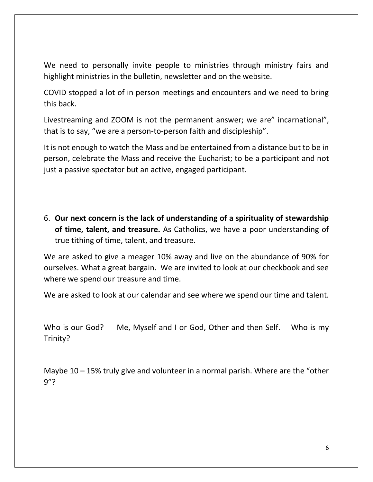We need to personally invite people to ministries through ministry fairs and highlight ministries in the bulletin, newsletter and on the website.

COVID stopped a lot of in person meetings and encounters and we need to bring this back.

Livestreaming and ZOOM is not the permanent answer; we are" incarnational", that is to say, "we are a person-to-person faith and discipleship".

It is not enough to watch the Mass and be entertained from a distance but to be in person, celebrate the Mass and receive the Eucharist; to be a participant and not just a passive spectator but an active, engaged participant.

6. **Our next concern is the lack of understanding of a spirituality of stewardship of time, talent, and treasure.** As Catholics, we have a poor understanding of true tithing of time, talent, and treasure.

We are asked to give a meager 10% away and live on the abundance of 90% for ourselves. What a great bargain. We are invited to look at our checkbook and see where we spend our treasure and time.

We are asked to look at our calendar and see where we spend our time and talent.

Who is our God? Me, Myself and I or God, Other and then Self. Who is my Trinity?

Maybe  $10 - 15\%$  truly give and volunteer in a normal parish. Where are the "other 9"?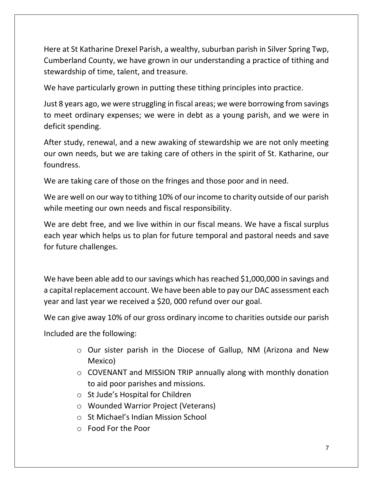Here at St Katharine Drexel Parish, a wealthy, suburban parish in Silver Spring Twp, Cumberland County, we have grown in our understanding a practice of tithing and stewardship of time, talent, and treasure.

We have particularly grown in putting these tithing principles into practice.

Just 8 years ago, we were struggling in fiscal areas; we were borrowing from savings to meet ordinary expenses; we were in debt as a young parish, and we were in deficit spending.

After study, renewal, and a new awaking of stewardship we are not only meeting our own needs, but we are taking care of others in the spirit of St. Katharine, our foundress.

We are taking care of those on the fringes and those poor and in need.

We are well on our way to tithing 10% of our income to charity outside of our parish while meeting our own needs and fiscal responsibility.

We are debt free, and we live within in our fiscal means. We have a fiscal surplus each year which helps us to plan for future temporal and pastoral needs and save for future challenges.

We have been able add to our savings which has reached \$1,000,000 in savings and a capital replacement account. We have been able to pay our DAC assessment each year and last year we received a \$20, 000 refund over our goal.

We can give away 10% of our gross ordinary income to charities outside our parish

Included are the following:

- o Our sister parish in the Diocese of Gallup, NM (Arizona and New Mexico)
- o COVENANT and MISSION TRIP annually along with monthly donation to aid poor parishes and missions.
- o St Jude's Hospital for Children
- o Wounded Warrior Project (Veterans)
- o St Michael's Indian Mission School
- o Food For the Poor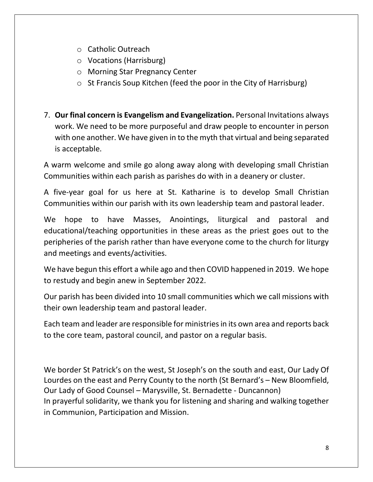- o Catholic Outreach
- o Vocations (Harrisburg)
- o Morning Star Pregnancy Center
- o St Francis Soup Kitchen (feed the poor in the City of Harrisburg)
- 7. **Our final concern is Evangelism and Evangelization.** Personal Invitations always work. We need to be more purposeful and draw people to encounter in person with one another. We have given in to the myth that virtual and being separated is acceptable.

A warm welcome and smile go along away along with developing small Christian Communities within each parish as parishes do with in a deanery or cluster.

A five-year goal for us here at St. Katharine is to develop Small Christian Communities within our parish with its own leadership team and pastoral leader.

We hope to have Masses, Anointings, liturgical and pastoral and educational/teaching opportunities in these areas as the priest goes out to the peripheries of the parish rather than have everyone come to the church for liturgy and meetings and events/activities.

We have begun this effort a while ago and then COVID happened in 2019. We hope to restudy and begin anew in September 2022.

Our parish has been divided into 10 small communities which we call missions with their own leadership team and pastoral leader.

Each team and leader are responsible for ministriesin its own area and reports back to the core team, pastoral council, and pastor on a regular basis.

We border St Patrick's on the west, St Joseph's on the south and east, Our Lady Of Lourdes on the east and Perry County to the north (St Bernard's – New Bloomfield, Our Lady of Good Counsel – Marysville, St. Bernadette - Duncannon) In prayerful solidarity, we thank you for listening and sharing and walking together in Communion, Participation and Mission.